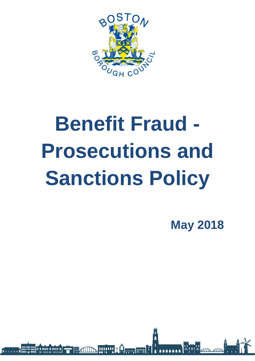

# **Benefit Fraud - Prosecutions and Sanctions Policy**

**HILLID + Qanan Film** 

II A IIIII A IIIIII A

**May 2018**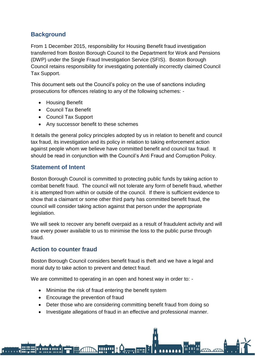## **Background**

From 1 December 2015, responsibility for Housing Benefit fraud investigation transferred from Boston Borough Council to the Department for Work and Pensions (DWP) under the Single Fraud Investigation Service (SFIS). Boston Borough Council retains responsibility for investigating potentially incorrectly claimed Council Tax Support.

This document sets out the Council's policy on the use of sanctions including prosecutions for offences relating to any of the following schemes: -

- Housing Benefit
- Council Tax Benefit
- Council Tax Support
- Any successor benefit to these schemes

It details the general policy principles adopted by us in relation to benefit and council tax fraud, its investigation and its policy in relation to taking enforcement action against people whom we believe have committed benefit and council tax fraud. It should be read in conjunction with the Council's Anti Fraud and Corruption Policy.

### **Statement of Intent**

Boston Borough Council is committed to protecting public funds by taking action to combat benefit fraud. The council will not tolerate any form of benefit fraud, whether it is attempted from within or outside of the council. If there is sufficient evidence to show that a claimant or some other third party has committed benefit fraud, the council will consider taking action against that person under the appropriate legislation.

We will seek to recover any benefit overpaid as a result of fraudulent activity and will use every power available to us to minimise the loss to the public purse through fraud.

### **Action to counter fraud**

i min i min i

Boston Borough Council considers benefit fraud is theft and we have a legal and moral duty to take action to prevent and detect fraud.

We are committed to operating in an open and honest way in order to: -

• Minimise the risk of fraud entering the benefit system

**HULLE** 

- Encourage the prevention of fraud
- Deter those who are considering committing benefit fraud from doing so
- Investigate allegations of fraud in an effective and professional manner.

**L**everland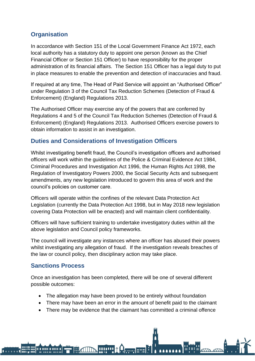# **Organisation**

In accordance with Section 151 of the Local Government Finance Act 1972, each local authority has a statutory duty to appoint one person (known as the Chief Financial Officer or Section 151 Officer) to have responsibility for the proper administration of its financial affairs. The Section 151 Officer has a legal duty to put in place measures to enable the prevention and detection of inaccuracies and fraud.

If required at any time, The Head of Paid Service will appoint an "Authorised Officer" under Regulation 3 of the Council Tax Reduction Schemes (Detection of Fraud & Enforcement) (England) Regulations 2013.

The Authorised Officer may exercise any of the powers that are conferred by Regulations 4 and 5 of the Council Tax Reduction Schemes (Detection of Fraud & Enforcement) (England) Regulations 2013. Authorised Officers exercise powers to obtain information to assist in an investigation.

### **Duties and Considerations of Investigation Officers**

Whilst investigating benefit fraud, the Council's investigation officers and authorised officers will work within the guidelines of the Police & Criminal Evidence Act 1984, Criminal Procedures and Investigation Act 1996, the Human Rights Act 1998, the Regulation of Investigatory Powers 2000, the Social Security Acts and subsequent amendments, any new legislation introduced to govern this area of work and the council's policies on customer care.

Officers will operate within the confines of the relevant Data Protection Act Legislation (currently the Data Protection Act 1998, but in May 2018 new legislation covering Data Protection will be enacted) and will maintain client confidentiality.

Officers will have sufficient training to undertake investigatory duties within all the above legislation and Council policy frameworks.

The council will investigate any instances where an officer has abused their powers whilst investigating any allegation of fraud. If the investigation reveals breaches of the law or council policy, then disciplinary action may take place.

### **Sanctions Process**

<u>a min a min a</u>

Once an investigation has been completed, there will be one of several different possible outcomes:

• The allegation may have been proved to be entirely without foundation

**WWW** 

- There may have been an error in the amount of benefit paid to the claimant
- There may be evidence that the claimant has committed a criminal offence

**Derrims**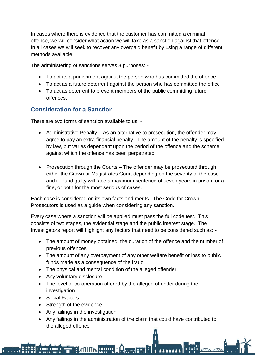In cases where there is evidence that the customer has committed a criminal offence, we will consider what action we will take as a sanction against that offence. In all cases we will seek to recover any overpaid benefit by using a range of different methods available.

The administering of sanctions serves 3 purposes: -

- To act as a punishment against the person who has committed the offence
- To act as a future deterrent against the person who has committed the office
- To act as deterrent to prevent members of the public committing future offences.

### **Consideration for a Sanction**

There are two forms of sanction available to us: -

- Administrative Penalty As an alternative to prosecution, the offender may agree to pay an extra financial penalty. The amount of the penalty is specified by law, but varies dependant upon the period of the offence and the scheme against which the offence has been perpetrated.
- Prosecution through the Courts The offender may be prosecuted through either the Crown or Magistrates Court depending on the severity of the case and if found guilty will face a maximum sentence of seven years in prison, or a fine, or both for the most serious of cases.

Each case is considered on its own facts and merits. The Code for Crown Prosecutors is used as a guide when considering any sanction.

Every case where a sanction will be applied must pass the full code test. This consists of two stages, the evidential stage and the public interest stage. The Investigators report will highlight any factors that need to be considered such as: -

- The amount of money obtained, the duration of the offence and the number of previous offences
- The amount of any overpayment of any other welfare benefit or loss to public funds made as a consequence of the fraud
- The physical and mental condition of the alleged offender
- Any voluntary disclosure
- The level of co-operation offered by the alleged offender during the investigation
- Social Factors

<u>a min a min a</u>

- Strength of the evidence
- Any failings in the investigation
- Any failings in the administration of the claim that could have contributed to the alleged offence

**HIPP A Comment**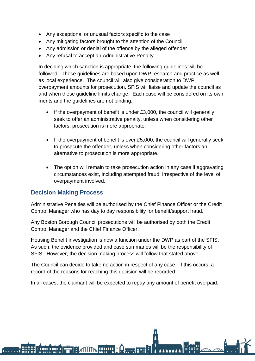- Any exceptional or unusual factors specific to the case
- Any mitigating factors brought to the attention of the Council
- Any admission or denial of the offence by the alleged offender
- Any refusal to accept an Administrative Penalty.

In deciding which sanction is appropriate, the following guidelines will be followed. These guidelines are based upon DWP research and practice as well as local experience. The council will also give consideration to DWP overpayment amounts for prosecution. SFIS will liaise and update the council as and when these guideline limits change. Each case will be considered on its own merits and the guidelines are not binding.

- If the overpayment of benefit is under £3,000, the council will generally seek to offer an administrative penalty, unless when considering other factors, prosecution is more appropriate.
- If the overpayment of benefit is over £5,000, the council will generally seek to prosecute the offender, unless when considering other factors an alternative to prosecution is more appropriate.
- The option will remain to take prosecution action in any case if aggravating circumstances exist, including attempted fraud, irrespective of the level of overpayment involved.

#### **Decision Making Process**

**A 11111 A 11111 A** 

Administrative Penalties will be authorised by the Chief Finance Officer or the Credit Control Manager who has day to day responsibility for benefit/support fraud.

Any Boston Borough Council prosecutions will be authorised by both the Credit Control Manager and the Chief Finance Officer.

Housing Benefit investigation is now a function under the DWP as part of the SFIS. As such, the evidence provided and case summaries will be the responsibility of SFIS. However, the decision making process will follow that stated above.

The Council can decide to take no action in respect of any case. If this occurs, a record of the reasons for reaching this decision will be recorded.

In all cases, the claimant will be expected to repay any amount of benefit overpaid.

**HILLE 1 According**